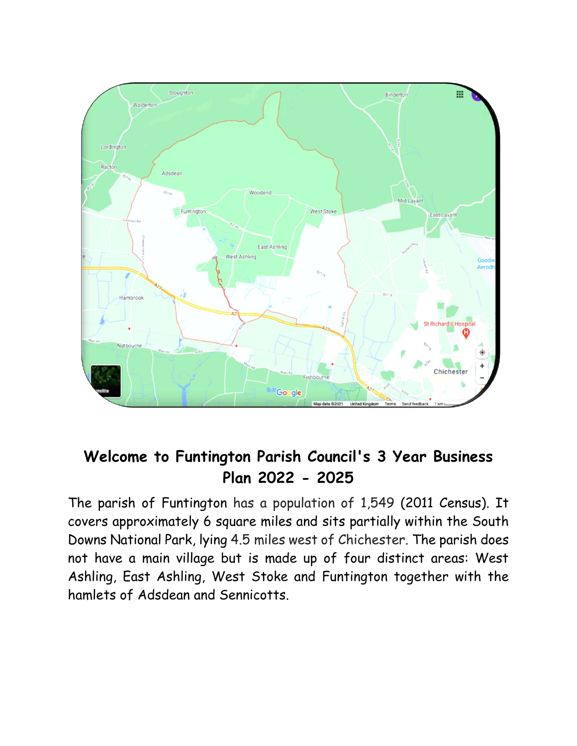

# **Welcome to Funtington Parish Council's 3 Year Business Plan 2022 - 2025**

The parish of Funtington has a population of 1,549 (2011 Census). It covers approximately 6 square miles and sits partially within the South Downs National Park, lying 4.5 miles west of Chichester. The parish does not have a main village but is made up of four distinct areas: West Ashling, East Ashling, West Stoke and Funtington together with the hamlets of Adsdean and Sennicotts.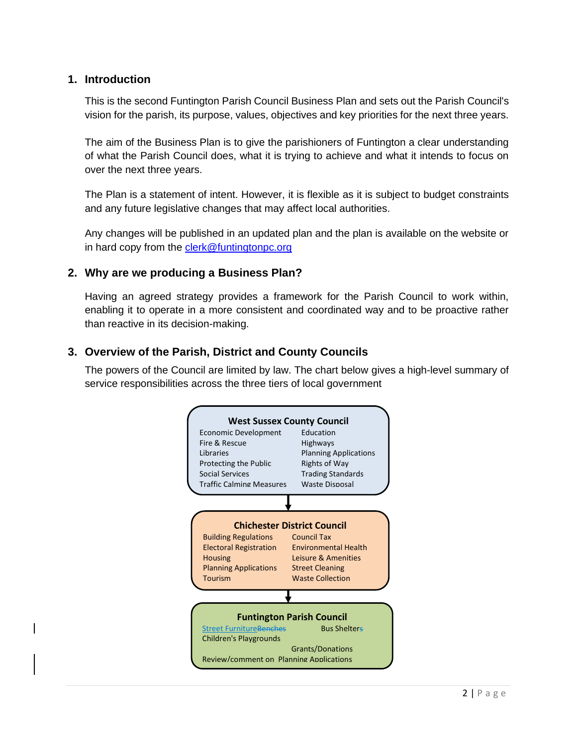#### **1. Introduction**

This is the second Funtington Parish Council Business Plan and sets out the Parish Council's vision for the parish, its purpose, values, objectives and key priorities for the next three years.

The aim of the Business Plan is to give the parishioners of Funtington a clear understanding of what the Parish Council does, what it is trying to achieve and what it intends to focus on over the next three years.

The Plan is a statement of intent. However, it is flexible as it is subject to budget constraints and any future legislative changes that may affect local authorities.

Any changes will be published in an updated plan and the plan is available on the website or in hard copy from the [clerk@funtingtonpc.org](javascript:void(0))

#### **2. Why are we producing a Business Plan?**

Having an agreed strategy provides a framework for the Parish Council to work within, enabling it to operate in a more consistent and coordinated way and to be proactive rather than reactive in its decision-making.

#### **3. Overview of the Parish, District and County Councils**

The powers of the Council are limited by law. The chart below gives a high-level summary of service responsibilities across the three tiers of local government

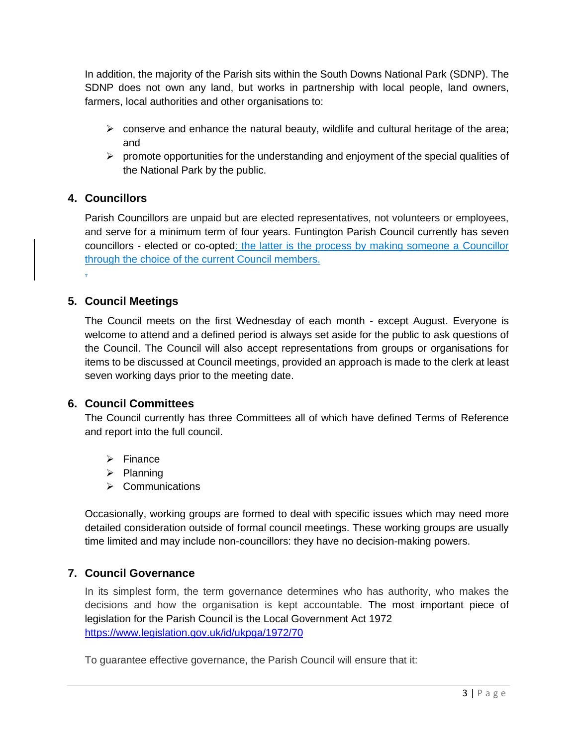In addition, the majority of the Parish sits within the South Downs National Park (SDNP). The SDNP does not own any land, but works in partnership with local people, land owners, farmers, local authorities and other organisations to:

- $\triangleright$  conserve and enhance the natural beauty, wildlife and cultural heritage of the area; and
- $\triangleright$  promote opportunities for the understanding and enjoyment of the special qualities of the National Park by the public.

# **4. Councillors**

Parish Councillors are unpaid but are elected representatives, not volunteers or employees, and serve for a minimum term of four years. Funtington Parish Council currently has seven councillors - elected or co-opted: the latter is the process by making someone a Councillor through the choice of the current Council members. .

## **5. Council Meetings**

The Council meets on the first Wednesday of each month - except August. Everyone is welcome to attend and a defined period is always set aside for the public to ask questions of the Council. The Council will also accept representations from groups or organisations for items to be discussed at Council meetings, provided an approach is made to the clerk at least seven working days prior to the meeting date.

#### **6. Council Committees**

The Council currently has three Committees all of which have defined Terms of Reference and report into the full council.

- ➢ Finance
- ➢ Planning
- ➢ Communications

Occasionally, working groups are formed to deal with specific issues which may need more detailed consideration outside of formal council meetings. These working groups are usually time limited and may include non-councillors: they have no decision-making powers.

#### **7. Council Governance**

In its simplest form, the term governance determines who has authority, who makes the decisions and how the organisation is kept accountable. The most important piece of legislation for the Parish Council is the Local Government Act 1972 <https://www.legislation.gov.uk/id/ukpga/1972/70>

To guarantee effective governance, the Parish Council will ensure that it: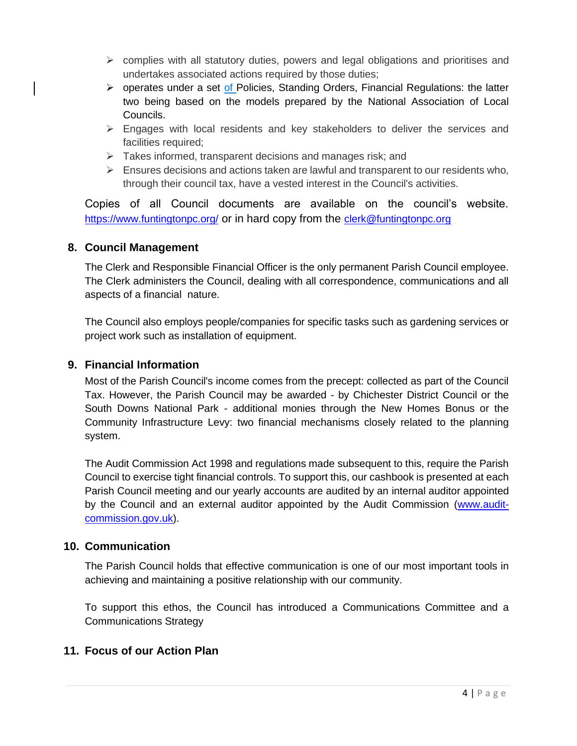- $\triangleright$  complies with all statutory duties, powers and legal obligations and prioritises and undertakes associated actions required by those duties;
- ➢ operates under a set of Policies, Standing Orders, Financial Regulations: the latter two being based on the models prepared by the National Association of Local Councils.
- ➢ Engages with local residents and key stakeholders to deliver the services and facilities required;
- $\triangleright$  Takes informed, transparent decisions and manages risk; and
- $\triangleright$  Ensures decisions and actions taken are lawful and transparent to our residents who, through their council tax, have a vested interest in the Council's activities.

Copies of all Council documents are available on the council's website. <https://www.funtingtonpc.org/> or in hard copy from the [clerk@funtingtonpc.org](javascript:void(0))

#### **8. Council Management**

The Clerk and Responsible Financial Officer is the only permanent Parish Council employee. The Clerk administers the Council, dealing with all correspondence, communications and all aspects of a financial nature.

The Council also employs people/companies for specific tasks such as gardening services or project work such as installation of equipment.

## **9. Financial Information**

Most of the Parish Council's income comes from the precept: collected as part of the Council Tax. However, the Parish Council may be awarded - by Chichester District Council or the South Downs National Park - additional monies through the New Homes Bonus or the Community Infrastructure Levy: two financial mechanisms closely related to the planning system.

The Audit Commission Act 1998 and regulations made subsequent to this, require the Parish Council to exercise tight financial controls. To support this, our cashbook is presented at each Parish Council meeting and our yearly accounts are audited by an internal auditor appointed by the Council and an external auditor appointed by the Audit Commission [\(www.audit](file:///C:/Users/Sheena/Documents/Parish%20Council/2021/Business%20Plan/www.audit-commission.gov.uk)[commission.gov.uk\)](file:///C:/Users/Sheena/Documents/Parish%20Council/2021/Business%20Plan/www.audit-commission.gov.uk).

#### **10. Communication**

The Parish Council holds that effective communication is one of our most important tools in achieving and maintaining a positive relationship with our community.

To support this ethos, the Council has introduced a Communications Committee and a Communications Strategy

# **11. Focus of our Action Plan**